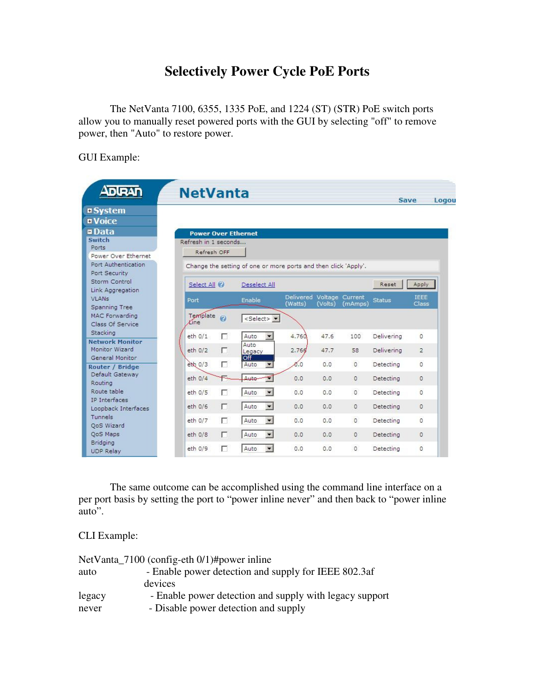## **Selectively Power Cycle PoE Ports**

The NetVanta 7100, 6355, 1335 PoE, and 1224 (ST) (STR) PoE switch ports allow you to manually reset powered ports with the GUI by selecting "off" to remove power, then "Auto" to restore power.

GUI Example:

| $\blacksquare$                                              | <b>NetVanta</b>                 |                                                                 |                                      |         |          |               | Save                 | Logou |
|-------------------------------------------------------------|---------------------------------|-----------------------------------------------------------------|--------------------------------------|---------|----------|---------------|----------------------|-------|
| <b><i><u>n System</u></i></b><br><b>E</b> Voice             |                                 |                                                                 |                                      |         |          |               |                      |       |
| <b>¤Data</b>                                                | <b>Power Over Ethernet</b>      |                                                                 |                                      |         |          |               |                      |       |
| Switch                                                      | Refresh in 1 seconds            |                                                                 |                                      |         |          |               |                      |       |
| Ports<br>Power Over Ethernet                                | Refresh OFF                     |                                                                 |                                      |         |          |               |                      |       |
| Port Authentication<br>Port Security                        |                                 | Change the setting of one or more ports and then click 'Apply'. |                                      |         |          |               |                      |       |
| Storm Control<br>Link Aggregation                           | Select All @                    | Deselect All                                                    |                                      |         |          | Reset         | Apply                |       |
| <b>VLANs</b><br>Spanning Tree                               | Port                            | Enable                                                          | Delivered Voltage Current<br>(Watts) | (Volts) | (mAmps)  | <b>Status</b> | <b>IFFE</b><br>Class |       |
| <b>MAC Forwarding</b><br>Class Of Service                   | Template<br>0<br><b>Kine</b>    | <select> -</select>                                             |                                      |         |          |               |                      |       |
| Stacking                                                    | $eth$ $0/1$<br>п                | Auto<br>$\overline{\phantom{0}}$                                | 4.760                                | 47.6    | 100      | Delivering    | $\circ$              |       |
| <b>Network Monitor</b><br>Monitor Wizard<br>General Monitor | eth 0/2<br>л                    | Auto<br>Legacy<br>Off                                           | 2.766                                | 47.7    | 58       | Delivering    | $\overline{2}$       |       |
| Router / Bridge                                             | г<br>$e^{t}$ <sub>0</sub> $(3)$ | Auto<br>$\overline{\phantom{a}}$                                | Ø.0                                  | 0.0     | $\Omega$ | Detecting     | $\Omega$             |       |
| Default Gateway<br>Routing                                  | eth 0/4                         | Auto                                                            | 0.0                                  | 0.0     | $\circ$  | Detecting     | $\Omega$             |       |
| Route table                                                 | г<br>$eth$ $0/5$                | Auto                                                            | 0.0                                  | 0.0     | $\circ$  | Detecting     | $\Omega$             |       |
| IP Interfaces<br>Loopback Interfaces                        | г<br>eth 0/6                    | Auto<br>$\blacksquare$                                          | 0.0                                  | 0.0     | $\circ$  | Detecting     | $\Omega$             |       |
| Tunnels<br>QoS Wizard                                       | п<br>eth 0/7                    | Auto<br>$\blacksquare$                                          | 0.0                                  | 0.0     | $\Omega$ | Detecting     | $\Omega$             |       |
| QoS Maps                                                    | П<br>eth 0/8                    | Auto                                                            | 0.0                                  | 0.0     | $\Omega$ | Detecting     | $\Omega$             |       |
| Bridging<br>UDP Relay                                       | eth 0/9<br>г                    | Auto                                                            | 0.0                                  | 0.0     | 0        | Detecting     | $\Omega$             |       |

The same outcome can be accomplished using the command line interface on a per port basis by setting the port to "power inline never" and then back to "power inline auto".

CLI Example:

|        | NetVanta_7100 (config-eth 0/1)#power inline             |
|--------|---------------------------------------------------------|
| auto   | - Enable power detection and supply for IEEE 802.3af    |
|        | devices                                                 |
| legacy | - Enable power detection and supply with legacy support |
| never  | - Disable power detection and supply                    |